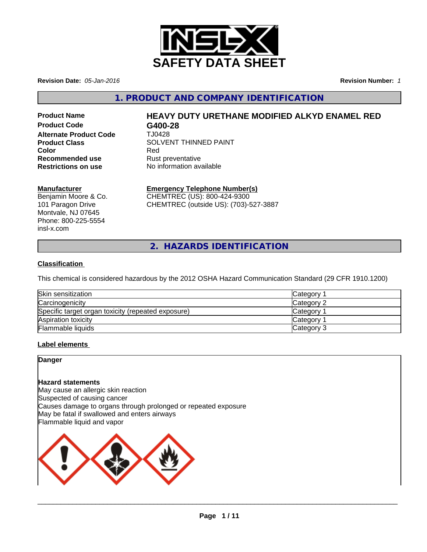

**Revision Date:** *05-Jan-2016* **Revision Number:** *1*

**1. PRODUCT AND COMPANY IDENTIFICATION**

**Product Code G400-28 Alternate Product Code Recommended use** Rust preventative<br> **Restrictions on use** No information ave

# **Product Name HEAVY DUTY URETHANE MODIFIED ALKYD ENAMEL RED**

**Product Class**<br>
Color<br>
Red
Red
Red
Red
SOLVENT THINNED PAINT **Color** Red **Restrictions on use** No information available

#### **Manufacturer**

Benjamin Moore & Co. 101 Paragon Drive Montvale, NJ 07645 Phone: 800-225-5554 insl-x.com

# **Emergency Telephone Number(s)**

CHEMTREC (US): 800-424-9300 CHEMTREC (outside US): (703)-527-3887

**2. HAZARDS IDENTIFICATION**

#### **Classification**

This chemical is considered hazardous by the 2012 OSHA Hazard Communication Standard (29 CFR 1910.1200)

| Skin sensitization                                 | <b>Category</b> |
|----------------------------------------------------|-----------------|
| Carcinogenicity                                    | Category 2      |
| Specific target organ toxicity (repeated exposure) | Category        |
| Aspiration toxicity                                | Category        |
| Flammable liquids                                  | Category 3      |

#### **Label elements**

#### **Danger**

#### **Hazard statements**

May cause an allergic skin reaction Suspected of causing cancer Causes damage to organs through prolonged or repeated exposure May be fatal if swallowed and enters airways Flammable liquid and vapor



 $\overline{\phantom{a}}$  ,  $\overline{\phantom{a}}$  ,  $\overline{\phantom{a}}$  ,  $\overline{\phantom{a}}$  ,  $\overline{\phantom{a}}$  ,  $\overline{\phantom{a}}$  ,  $\overline{\phantom{a}}$  ,  $\overline{\phantom{a}}$  ,  $\overline{\phantom{a}}$  ,  $\overline{\phantom{a}}$  ,  $\overline{\phantom{a}}$  ,  $\overline{\phantom{a}}$  ,  $\overline{\phantom{a}}$  ,  $\overline{\phantom{a}}$  ,  $\overline{\phantom{a}}$  ,  $\overline{\phantom{a}}$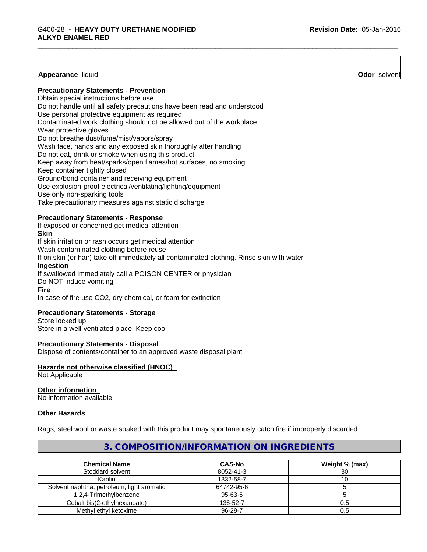**Appearance** liquid **Odor** solvent

# **Precautionary Statements - Prevention**

Obtain special instructions before use Do not handle until all safety precautions have been read and understood Use personal protective equipment as required Contaminated work clothing should not be allowed out of the workplace Wear protective gloves Do not breathe dust/fume/mist/vapors/spray Wash face, hands and any exposed skin thoroughly after handling Do not eat, drink or smoke when using this product Keep away from heat/sparks/open flames/hot surfaces, no smoking Keep container tightly closed Ground/bond container and receiving equipment Use explosion-proof electrical/ventilating/lighting/equipment Use only non-sparking tools Take precautionary measures against static discharge

#### **Precautionary Statements - Response**

If exposed or concerned get medical attention

#### **Skin**

If skin irritation or rash occurs get medical attention Wash contaminated clothing before reuse If on skin (or hair) take off immediately all contaminated clothing. Rinse skin with water **Ingestion** If swallowed immediately call a POISON CENTER or physician

Do NOT induce vomiting

#### **Fire**

In case of fire use CO2, dry chemical, or foam for extinction

## **Precautionary Statements - Storage**

Store locked up Store in a well-ventilated place. Keep cool

#### **Precautionary Statements - Disposal**

Dispose of contents/container to an approved waste disposal plant

## **Hazards not otherwise classified (HNOC)**

Not Applicable

#### **Other information**

No information available

#### **Other Hazards**

Rags, steel wool or waste soaked with this product may spontaneously catch fire if improperly discarded

### **Chemical Name CAS-No Weight % (max)** Stoddard solvent 8052-41-3 30 Kaolin 1332-58-7 1332-58-7 10 10 | 1332-58-7 10 | 1 Solvent naphtha, petroleum, light aromatic 64742-95-6 5 1,2,4-Trimethylbenzene 95-63-6 5 Cobalt bis(2-ethylhexanoate) 136-52-7 0.5 Methyl ethyl ketoxime **196-29-7** 0.5

# **3. COMPOSITION/INFORMATION ON INGREDIENTS**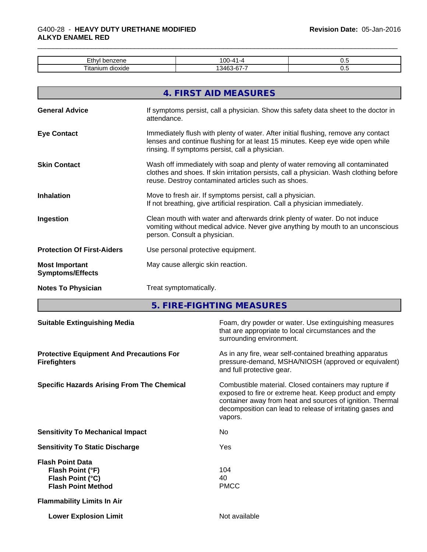### \_\_\_\_\_\_\_\_\_\_\_\_\_\_\_\_\_\_\_\_\_\_\_\_\_\_\_\_\_\_\_\_\_\_\_\_\_\_\_\_\_\_\_\_\_\_\_\_\_\_\_\_\_\_\_\_\_\_\_\_\_\_\_\_\_\_\_\_\_\_\_\_\_\_\_\_\_\_\_\_\_\_\_\_\_\_\_\_\_\_\_\_\_ G400-28 - **HEAVY DUTY URETHANE MODIFIED ALKYD ENAMEL RED**

| $-41$<br>,,,<br>--<br>ЕU<br>5115  | $00 - 4$<br>$\sqrt{ }$ | ິ.  |
|-----------------------------------|------------------------|-----|
| <br>—<br>. Ita<br>אור<br>ու<br>٦6 | ,,,                    | ◡.、 |

|                                                  | 4. FIRST AID MEASURES                                                                                                                                                                                                         |
|--------------------------------------------------|-------------------------------------------------------------------------------------------------------------------------------------------------------------------------------------------------------------------------------|
| <b>General Advice</b>                            | If symptoms persist, call a physician. Show this safety data sheet to the doctor in<br>attendance.                                                                                                                            |
| <b>Eye Contact</b>                               | Immediately flush with plenty of water. After initial flushing, remove any contact<br>lenses and continue flushing for at least 15 minutes. Keep eye wide open while<br>rinsing. If symptoms persist, call a physician.       |
| <b>Skin Contact</b>                              | Wash off immediately with soap and plenty of water removing all contaminated<br>clothes and shoes. If skin irritation persists, call a physician. Wash clothing before<br>reuse. Destroy contaminated articles such as shoes. |
| <b>Inhalation</b>                                | Move to fresh air. If symptoms persist, call a physician.<br>If not breathing, give artificial respiration. Call a physician immediately.                                                                                     |
| Ingestion                                        | Clean mouth with water and afterwards drink plenty of water. Do not induce<br>vomiting without medical advice. Never give anything by mouth to an unconscious<br>person. Consult a physician.                                 |
| <b>Protection Of First-Aiders</b>                | Use personal protective equipment.                                                                                                                                                                                            |
| <b>Most Important</b><br><b>Symptoms/Effects</b> | May cause allergic skin reaction.                                                                                                                                                                                             |
| <b>Notes To Physician</b>                        | Treat symptomatically.                                                                                                                                                                                                        |
|                                                  |                                                                                                                                                                                                                               |

**5. FIRE-FIGHTING MEASURES**

| As in any fire, wear self-contained breathing apparatus<br><b>Protective Equipment And Precautions For</b><br>pressure-demand, MSHA/NIOSH (approved or equivalent)<br><b>Firefighters</b><br>and full protective gear.<br><b>Specific Hazards Arising From The Chemical</b><br>Combustible material. Closed containers may rupture if<br>exposed to fire or extreme heat. Keep product and empty<br>container away from heat and sources of ignition. Thermal<br>decomposition can lead to release of irritating gases and<br>vapors.<br><b>Sensitivity To Mechanical Impact</b><br>No.<br><b>Sensitivity To Static Discharge</b><br>Yes<br><b>Flash Point Data</b><br>104<br>Flash Point (°F)<br>Flash Point (°C)<br>40<br><b>PMCC</b><br><b>Flash Point Method</b><br><b>Flammability Limits In Air</b> |                                               |  |
|-----------------------------------------------------------------------------------------------------------------------------------------------------------------------------------------------------------------------------------------------------------------------------------------------------------------------------------------------------------------------------------------------------------------------------------------------------------------------------------------------------------------------------------------------------------------------------------------------------------------------------------------------------------------------------------------------------------------------------------------------------------------------------------------------------------|-----------------------------------------------|--|
|                                                                                                                                                                                                                                                                                                                                                                                                                                                                                                                                                                                                                                                                                                                                                                                                           |                                               |  |
|                                                                                                                                                                                                                                                                                                                                                                                                                                                                                                                                                                                                                                                                                                                                                                                                           |                                               |  |
|                                                                                                                                                                                                                                                                                                                                                                                                                                                                                                                                                                                                                                                                                                                                                                                                           |                                               |  |
|                                                                                                                                                                                                                                                                                                                                                                                                                                                                                                                                                                                                                                                                                                                                                                                                           |                                               |  |
|                                                                                                                                                                                                                                                                                                                                                                                                                                                                                                                                                                                                                                                                                                                                                                                                           |                                               |  |
|                                                                                                                                                                                                                                                                                                                                                                                                                                                                                                                                                                                                                                                                                                                                                                                                           |                                               |  |
|                                                                                                                                                                                                                                                                                                                                                                                                                                                                                                                                                                                                                                                                                                                                                                                                           | Not available<br><b>Lower Explosion Limit</b> |  |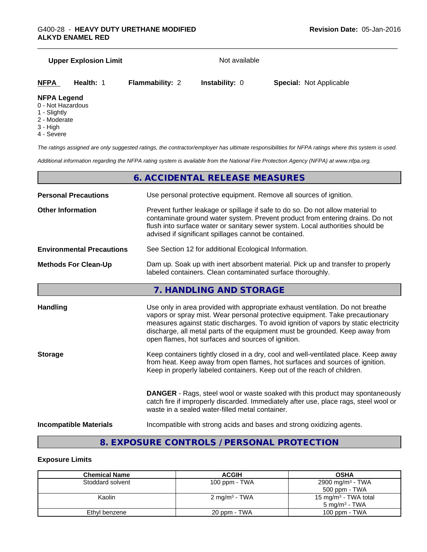# **Upper Explosion Limit** Not available

**NFPA Health:** 1 **Flammability:** 2 **Instability:** 0 **Special:** Not Applicable

#### **NFPA Legend**

- 0 Not Hazardous
- 1 Slightly
- 2 Moderate
- 3 High
- 4 Severe

*The ratings assigned are only suggested ratings, the contractor/employer has ultimate responsibilities for NFPA ratings where this system is used.*

*Additional information regarding the NFPA rating system is available from the National Fire Protection Agency (NFPA) at www.nfpa.org.*

# **6. ACCIDENTAL RELEASE MEASURES Personal Precautions** Use personal protective equipment. Remove all sources of ignition. **Other Information** Prevent further leakage or spillage if safe to do so. Do not allow material to contaminate ground water system. Prevent product from entering drains. Do not flush into surface water or sanitary sewer system. Local authorities should be advised if significant spillages cannot be contained. **Environmental Precautions** See Section 12 for additional Ecological Information. **Methods For Clean-Up** Dam up. Soak up with inert absorbent material. Pick up and transfer to properly labeled containers. Clean contaminated surface thoroughly. **7. HANDLING AND STORAGE Handling** Use only in area provided with appropriate exhaust ventilation. Do not breathe vapors or spray mist. Wear personal protective equipment. Take precautionary measures against static discharges. To avoid ignition of vapors by static electricity discharge, all metal parts of the equipment must be grounded. Keep away from open flames, hot surfaces and sources of ignition. **Storage** Keep containers tightly closed in a dry, cool and well-ventilated place. Keep away from heat. Keep away from open flames, hot surfaces and sources of ignition. Keep in properly labeled containers. Keep out of the reach of children. **DANGER** - Rags, steel wool or waste soaked with this product may spontaneously catch fire if improperly discarded. Immediately after use, place rags, steel wool or waste in a sealed water-filled metal container. **Incompatible Materials** Incompatible with strong acids and bases and strong oxidizing agents.

# **8. EXPOSURE CONTROLS / PERSONAL PROTECTION**

#### **Exposure Limits**

| <b>Chemical Name</b> | <b>ACGIH</b>             | <b>OSHA</b>                      |
|----------------------|--------------------------|----------------------------------|
| Stoddard solvent     | 100 ppm - TWA            | 2900 mg/m <sup>3</sup> - TWA     |
|                      |                          | 500 ppm - TWA                    |
| Kaolin               | $2 \text{ mg/m}^3$ - TWA | 15 mg/m <sup>3</sup> - TWA total |
|                      |                          | $5 \text{ mg/m}^3$ - TWA         |
| Ethyl benzene        | 20 ppm - TWA             | 100 ppm - TWA                    |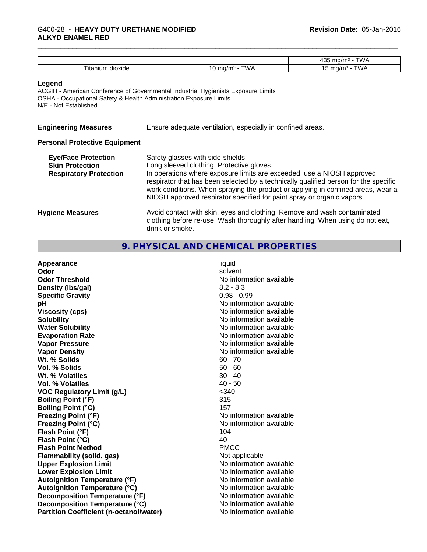#### \_\_\_\_\_\_\_\_\_\_\_\_\_\_\_\_\_\_\_\_\_\_\_\_\_\_\_\_\_\_\_\_\_\_\_\_\_\_\_\_\_\_\_\_\_\_\_\_\_\_\_\_\_\_\_\_\_\_\_\_\_\_\_\_\_\_\_\_\_\_\_\_\_\_\_\_\_\_\_\_\_\_\_\_\_\_\_\_\_\_\_\_\_ G400-28 - **HEAVY DUTY URETHANE MODIFIED ALKYD ENAMEL RED**

|                                                          |                                                     | TWA<br>10F<br>ma<br>$\overline{\phantom{a}}$<br><b>v</b> v <i>l</i> |
|----------------------------------------------------------|-----------------------------------------------------|---------------------------------------------------------------------|
| $\sim$<br><br>$\sim$<br>∣ita<br><b>PIOVIA</b><br>gioxige | ---<br>™∆ ∆<br>1/m<br>.<br>$\overline{\phantom{a}}$ | TWA<br>1/n<br><b>v</b> v <i>l</i><br>.<br>∼                         |

#### **Legend**

ACGIH - American Conference of Governmental Industrial Hygienists Exposure Limits OSHA - Occupational Safety & Health Administration Exposure Limits N/E - Not Established

**Engineering Measures** Ensure adequate ventilation, especially in confined areas.

#### **Personal Protective Equipment**

| <b>Eye/Face Protection</b>    | Safety glasses with side-shields.                                                                                                                                                                                                                                                                                            |
|-------------------------------|------------------------------------------------------------------------------------------------------------------------------------------------------------------------------------------------------------------------------------------------------------------------------------------------------------------------------|
| <b>Skin Protection</b>        | Long sleeved clothing. Protective gloves.                                                                                                                                                                                                                                                                                    |
| <b>Respiratory Protection</b> | In operations where exposure limits are exceeded, use a NIOSH approved<br>respirator that has been selected by a technically qualified person for the specific<br>work conditions. When spraying the product or applying in confined areas, wear a<br>NIOSH approved respirator specified for paint spray or organic vapors. |
| <b>Hygiene Measures</b>       | Avoid contact with skin, eyes and clothing. Remove and wash contaminated<br>clothing before re-use. Wash thoroughly after handling. When using do not eat,<br>drink or smoke.                                                                                                                                                |

# **9. PHYSICAL AND CHEMICAL PROPERTIES**

| Appearance                                     | liquid                   |
|------------------------------------------------|--------------------------|
| Odor                                           | solvent                  |
| <b>Odor Threshold</b>                          | No information available |
| Density (Ibs/gal)                              | $8.2 - 8.3$              |
| <b>Specific Gravity</b>                        | $0.98 - 0.99$            |
| pH                                             | No information available |
| <b>Viscosity (cps)</b>                         | No information available |
| <b>Solubility</b>                              | No information available |
| <b>Water Solubility</b>                        | No information available |
| <b>Evaporation Rate</b>                        | No information available |
| <b>Vapor Pressure</b>                          | No information available |
| <b>Vapor Density</b>                           | No information available |
| Wt. % Solids                                   | $60 - 70$                |
| <b>Vol. % Solids</b>                           | $50 - 60$                |
| Wt. % Volatiles                                | $30 - 40$                |
| <b>Vol. % Volatiles</b>                        | $40 - 50$                |
| <b>VOC Regulatory Limit (g/L)</b>              | $340$                    |
| <b>Boiling Point (°F)</b>                      | 315                      |
| <b>Boiling Point (°C)</b>                      | 157                      |
| <b>Freezing Point (°F)</b>                     | No information available |
| <b>Freezing Point (°C)</b>                     | No information available |
| Flash Point (°F)                               | 104                      |
| Flash Point (°C)                               | 40                       |
| <b>Flash Point Method</b>                      | <b>PMCC</b>              |
| <b>Flammability (solid, gas)</b>               | Not applicable           |
| <b>Upper Explosion Limit</b>                   | No information available |
| <b>Lower Explosion Limit</b>                   | No information available |
| <b>Autoignition Temperature (°F)</b>           | No information available |
| <b>Autoignition Temperature (°C)</b>           | No information available |
| Decomposition Temperature (°F)                 | No information available |
| Decomposition Temperature (°C)                 | No information available |
| <b>Partition Coefficient (n-octanol/water)</b> | No information available |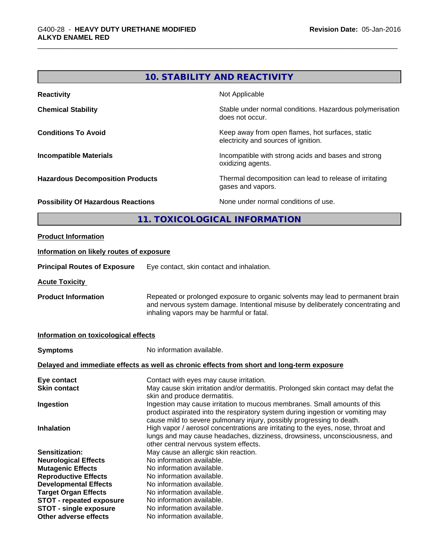# **10. STABILITY AND REACTIVITY**

| <b>Reactivity</b>                         | Not Applicable                                                                           |
|-------------------------------------------|------------------------------------------------------------------------------------------|
| <b>Chemical Stability</b>                 | Stable under normal conditions. Hazardous polymerisation<br>does not occur.              |
| <b>Conditions To Avoid</b>                | Keep away from open flames, hot surfaces, static<br>electricity and sources of ignition. |
| <b>Incompatible Materials</b>             | Incompatible with strong acids and bases and strong<br>oxidizing agents.                 |
| <b>Hazardous Decomposition Products</b>   | Thermal decomposition can lead to release of irritating<br>gases and vapors.             |
| <b>Possibility Of Hazardous Reactions</b> | None under normal conditions of use.                                                     |

# **11. TOXICOLOGICAL INFORMATION**

#### **Product Information**

#### **Information on likely routes of exposure**

**Principal Routes of Exposure** Eye contact, skin contact and inhalation.

**Acute Toxicity** 

**Product Information** Repeated or prolonged exposure to organic solvents may lead to permanent brain and nervous system damage. Intentional misuse by deliberately concentrating and inhaling vapors may be harmful or fatal.

#### **Information on toxicological effects**

| <b>Symptoms</b>                 | No information available.                                                                                                                                                                                                            |
|---------------------------------|--------------------------------------------------------------------------------------------------------------------------------------------------------------------------------------------------------------------------------------|
|                                 | Delayed and immediate effects as well as chronic effects from short and long-term exposure                                                                                                                                           |
| Eye contact                     | Contact with eyes may cause irritation.                                                                                                                                                                                              |
| <b>Skin contact</b>             | May cause skin irritation and/or dermatitis. Prolonged skin contact may defat the<br>skin and produce dermatitis.                                                                                                                    |
| Ingestion                       | Ingestion may cause irritation to mucous membranes. Small amounts of this<br>product aspirated into the respiratory system during ingestion or vomiting may<br>cause mild to severe pulmonary injury, possibly progressing to death. |
| <b>Inhalation</b>               | High vapor / aerosol concentrations are irritating to the eyes, nose, throat and<br>lungs and may cause headaches, dizziness, drowsiness, unconsciousness, and<br>other central nervous system effects.                              |
| Sensitization:                  | May cause an allergic skin reaction.                                                                                                                                                                                                 |
| <b>Neurological Effects</b>     | No information available.                                                                                                                                                                                                            |
| <b>Mutagenic Effects</b>        | No information available.                                                                                                                                                                                                            |
| <b>Reproductive Effects</b>     | No information available.                                                                                                                                                                                                            |
| <b>Developmental Effects</b>    | No information available.                                                                                                                                                                                                            |
| <b>Target Organ Effects</b>     | No information available.                                                                                                                                                                                                            |
| <b>STOT - repeated exposure</b> | No information available.                                                                                                                                                                                                            |
| <b>STOT - single exposure</b>   | No information available.                                                                                                                                                                                                            |
| Other adverse effects           | No information available.                                                                                                                                                                                                            |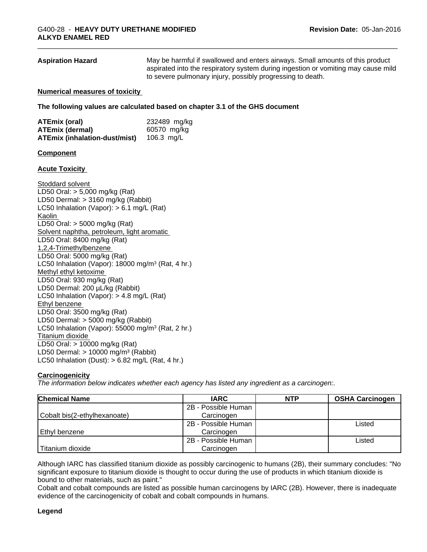#### **Aspiration Hazard** May be harmful if swallowed and enters airways. Small amounts of this product aspirated into the respiratory system during ingestion or vomiting may cause mild to severe pulmonary injury, possibly progressing to death.

#### **Numerical measures of toxicity**

**The following values are calculated based on chapter 3.1 of the GHS document**

| ATEmix (oral)                        | 232489 mg/kg |
|--------------------------------------|--------------|
| <b>ATEmix (dermal)</b>               | 60570 mg/kg  |
| <b>ATEmix (inhalation-dust/mist)</b> | 106.3 mg/L   |

#### **Component**

#### **Acute Toxicity**

Stoddard solvent LD50 Oral: > 5,000 mg/kg (Rat) LD50 Dermal: > 3160 mg/kg (Rabbit) LC50 Inhalation (Vapor): > 6.1 mg/L (Rat) Kaolin LD50 Oral: > 5000 mg/kg (Rat) Solvent naphtha, petroleum, light aromatic LD50 Oral: 8400 mg/kg (Rat) 1,2,4-Trimethylbenzene LD50 Oral: 5000 mg/kg (Rat) LC50 Inhalation (Vapor): 18000 mg/m<sup>3</sup> (Rat, 4 hr.) Methyl ethyl ketoxime LD50 Oral: 930 mg/kg (Rat) LD50 Dermal: 200 µL/kg (Rabbit) LC50 Inhalation (Vapor): > 4.8 mg/L (Rat) Ethyl benzene LD50 Oral: 3500 mg/kg (Rat) LD50 Dermal: > 5000 mg/kg (Rabbit) LC50 Inhalation (Vapor): 55000 mg/m<sup>3</sup> (Rat, 2 hr.) Titanium dioxide LD50 Oral: > 10000 mg/kg (Rat) LD50 Dermal:  $> 10000$  mg/m<sup>3</sup> (Rabbit) LC50 Inhalation (Dust):  $> 6.82$  mg/L (Rat, 4 hr.)

#### **Carcinogenicity**

*The information below indicateswhether each agency has listed any ingredient as a carcinogen:.*

| <b>Chemical Name</b>         | <b>IARC</b>         | <b>NTP</b> | <b>OSHA Carcinogen</b> |
|------------------------------|---------------------|------------|------------------------|
|                              | 2B - Possible Human |            |                        |
| Cobalt bis(2-ethylhexanoate) | Carcinogen          |            |                        |
|                              | 2B - Possible Human |            | Listed                 |
| Ethyl benzene                | Carcinogen          |            |                        |
|                              | 2B - Possible Human |            | Listed                 |
| Titanium dioxide             | Carcinogen          |            |                        |

Although IARC has classified titanium dioxide as possibly carcinogenic to humans (2B), their summary concludes: "No significant exposure to titanium dioxide is thought to occur during the use of products in which titanium dioxide is bound to other materials, such as paint."

Cobalt and cobalt compounds are listed as possible human carcinogens by IARC (2B). However, there isinadequate evidence of the carcinogenicity of cobalt and cobalt compounds in humans.

#### **Legend**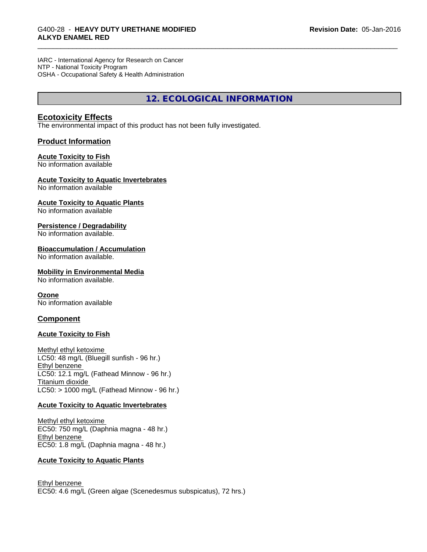IARC - International Agency for Research on Cancer NTP - National Toxicity Program OSHA - Occupational Safety & Health Administration

**12. ECOLOGICAL INFORMATION**

## **Ecotoxicity Effects**

The environmental impact of this product has not been fully investigated.

#### **Product Information**

#### **Acute Toxicity to Fish**

No information available

#### **Acute Toxicity to Aquatic Invertebrates**

No information available

#### **Acute Toxicity to Aquatic Plants**

No information available

#### **Persistence / Degradability**

No information available.

#### **Bioaccumulation / Accumulation**

No information available.

#### **Mobility in Environmental Media**

No information available.

#### **Ozone**

No information available

#### **Component**

#### **Acute Toxicity to Fish**

Methyl ethyl ketoxime LC50: 48 mg/L (Bluegill sunfish - 96 hr.) Ethyl benzene LC50: 12.1 mg/L (Fathead Minnow - 96 hr.) Titanium dioxide  $LC50:$  > 1000 mg/L (Fathead Minnow - 96 hr.)

#### **Acute Toxicity to Aquatic Invertebrates**

Methyl ethyl ketoxime EC50: 750 mg/L (Daphnia magna - 48 hr.) Ethyl benzene EC50: 1.8 mg/L (Daphnia magna - 48 hr.)

#### **Acute Toxicity to Aquatic Plants**

Ethyl benzene EC50: 4.6 mg/L (Green algae (Scenedesmus subspicatus), 72 hrs.)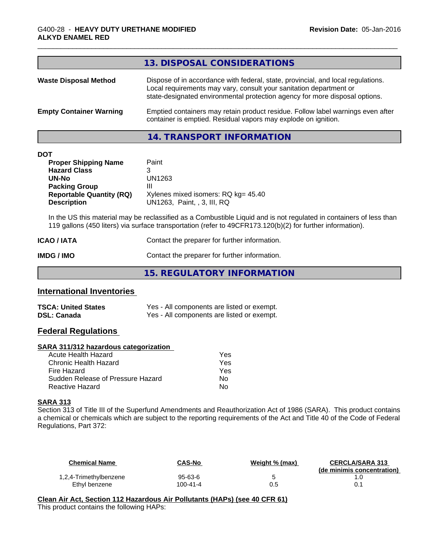| 13. DISPOSAL CONSIDERATIONS                                                                                                                                                                                                           |
|---------------------------------------------------------------------------------------------------------------------------------------------------------------------------------------------------------------------------------------|
| Dispose of in accordance with federal, state, provincial, and local regulations.<br>Local requirements may vary, consult your sanitation department or<br>state-designated environmental protection agency for more disposal options. |
| Emptied containers may retain product residue. Follow label warnings even after<br>container is emptied. Residual vapors may explode on ignition.                                                                                     |
|                                                                                                                                                                                                                                       |

#### **14. TRANSPORT INFORMATION**

| <b>DOT</b> |
|------------|
|------------|

| <b>Proper Shipping Name</b>     | Paint                               |
|---------------------------------|-------------------------------------|
| <b>Hazard Class</b>             | 3                                   |
| UN-No                           | UN1263                              |
| <b>Packing Group</b>            | Ш                                   |
| <b>Reportable Quantity (RQ)</b> | Xylenes mixed isomers: RQ kg= 45.40 |
| <b>Description</b>              | UN1263. Paint. . 3. III. RQ         |

In the US this material may be reclassified as a Combustible Liquid and is not regulated in containers of less than 119 gallons (450 liters) via surface transportation (refer to 49CFR173.120(b)(2) for further information).

| <b>ICAO / IATA</b> | Contact the preparer for further information. |
|--------------------|-----------------------------------------------|
| IMDG / IMO         | Contact the preparer for further information. |

**15. REGULATORY INFORMATION**

# **International Inventories**

| <b>TSCA: United States</b> | Yes - All components are listed or exempt. |
|----------------------------|--------------------------------------------|
| DSL: Canada                | Yes - All components are listed or exempt. |

## **Federal Regulations**

#### **SARA 311/312 hazardous categorization**

| Acute Health Hazard               | Yes |
|-----------------------------------|-----|
| Chronic Health Hazard             | Yes |
| Fire Hazard                       | Yes |
| Sudden Release of Pressure Hazard | Nο  |
| Reactive Hazard                   | N٥  |

#### **SARA 313**

Section 313 of Title III of the Superfund Amendments and Reauthorization Act of 1986 (SARA). This product contains a chemical or chemicals which are subject to the reporting requirements of the Act and Title 40 of the Code of Federal Regulations, Part 372:

| <b>Chemical Name</b>   | <b>CAS-No</b> | Weight % (max) | <b>CERCLA/SARA 313</b><br>(de minimis concentration) |
|------------------------|---------------|----------------|------------------------------------------------------|
| 1,2,4-Trimethylbenzene | 95-63-6       |                |                                                      |
| Ethyl benzene          | 100-41-4      | 0.5            |                                                      |

**Clean Air Act,Section 112 Hazardous Air Pollutants (HAPs) (see 40 CFR 61)** This product contains the following HAPs: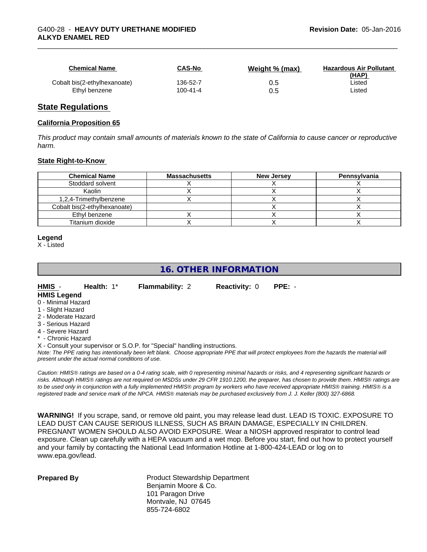| <b>Chemical Name</b>         | CAS-No         | Weight % (max) | <b>Hazardous Air Pollutant</b><br>(HAP) |
|------------------------------|----------------|----------------|-----------------------------------------|
| Cobalt bis(2-ethylhexanoate) | 136-52-7       | 0.5            | ∟isted                                  |
| Ethyl benzene                | $100 - 41 - 4$ | 0.5            | _isted                                  |

#### **State Regulations**

#### **California Proposition 65**

This product may contain small amounts of materials known to the state of California to cause cancer or reproductive *harm.*

#### **State Right-to-Know**

| <b>Chemical Name</b>         | <b>Massachusetts</b> | <b>New Jersey</b> | Pennsylvania |
|------------------------------|----------------------|-------------------|--------------|
| Stoddard solvent             |                      |                   |              |
| Kaolin                       |                      |                   |              |
| 1,2,4-Trimethylbenzene       |                      |                   |              |
| Cobalt bis(2-ethylhexanoate) |                      |                   |              |
| Ethyl benzene                |                      |                   |              |
| Titanium dioxide             |                      |                   |              |

#### **Legend**

X - Listed

# **16. OTHER INFORMATION**

**HMIS** - **Health:** 1\* **Flammability:** 2 **Reactivity:** 0 **PPE:** -

# **HMIS Legend**

- 0 Minimal Hazard
- 1 Slight Hazard
- 2 Moderate Hazard
- 3 Serious Hazard
- 4 Severe Hazard
- \* Chronic Hazard

X - Consult your supervisor or S.O.P. for "Special" handling instructions.

*Note: The PPE rating has intentionally been left blank. Choose appropriate PPE that will protect employees from the hazards the material will present under the actual normal conditions of use.*

*Caution: HMISÒ ratings are based on a 0-4 rating scale, with 0 representing minimal hazards or risks, and 4 representing significant hazards or risks. Although HMISÒ ratings are not required on MSDSs under 29 CFR 1910.1200, the preparer, has chosen to provide them. HMISÒ ratings are to be used only in conjunction with a fully implemented HMISÒ program by workers who have received appropriate HMISÒ training. HMISÒ is a registered trade and service mark of the NPCA. HMISÒ materials may be purchased exclusively from J. J. Keller (800) 327-6868.*

**WARNING!** If you scrape, sand, or remove old paint, you may release lead dust. LEAD IS TOXIC. EXPOSURE TO LEAD DUST CAN CAUSE SERIOUS ILLNESS, SUCH AS BRAIN DAMAGE, ESPECIALLY IN CHILDREN. PREGNANT WOMEN SHOULD ALSO AVOID EXPOSURE.Wear a NIOSH approved respirator to control lead exposure. Clean up carefully with a HEPA vacuum and a wet mop. Before you start, find out how to protect yourself and your family by contacting the National Lead Information Hotline at 1-800-424-LEAD or log on to www.epa.gov/lead.

**Prepared By** Product Stewardship Department Benjamin Moore & Co. 101 Paragon Drive Montvale, NJ 07645 855-724-6802